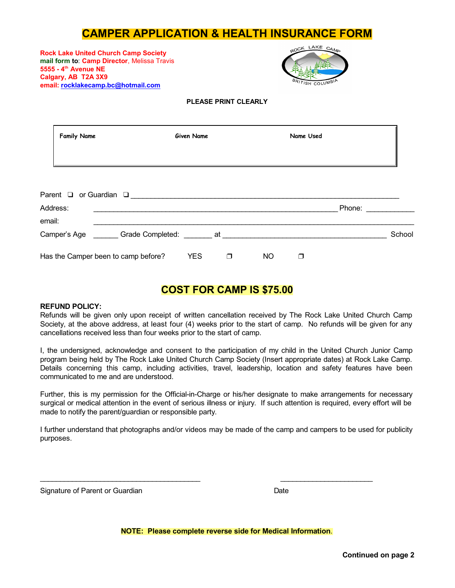# **CAMPER APPLICATION & HEALTH INSURANCE FORM**

**Rock Lake United Church Camp Society mail form to**: **Camp Director**, Melissa Travis **5555 - 4 th Avenue NE Calgary, AB T2A 3X9 email: [rocklakecamp.bc@hotmail.com](mailto:rocklakedave@gmail.com)**



#### **PLEASE PRINT CLEARLY**

|        | <b>Family Name</b> |                                     |                                                                                                                                                                                                                                | <b>Given Name</b> |        |           | Name Used |        |        |
|--------|--------------------|-------------------------------------|--------------------------------------------------------------------------------------------------------------------------------------------------------------------------------------------------------------------------------|-------------------|--------|-----------|-----------|--------|--------|
|        |                    |                                     |                                                                                                                                                                                                                                |                   |        |           |           |        |        |
|        | Address:           |                                     | Parent a or Guardian a contract of the Contract of Contract of Contract of Contract of Contract of Contract of Contract of Contract of Contract of Contract of Contract of Contract of Contract of Contract of Contract of Con |                   |        |           |           | Phone: |        |
| email: |                    |                                     |                                                                                                                                                                                                                                |                   |        |           |           |        |        |
|        |                    |                                     | Camper's Age ________ Grade Completed: _______ at ________                                                                                                                                                                     |                   |        |           |           |        | School |
|        |                    | Has the Camper been to camp before? |                                                                                                                                                                                                                                | <b>YES</b>        | $\Box$ | <b>NO</b> | ┑         |        |        |

## **COST FOR CAMP IS \$75.00**

#### **REFUND POLICY:**

Refunds will be given only upon receipt of written cancellation received by The Rock Lake United Church Camp Society, at the above address, at least four (4) weeks prior to the start of camp. No refunds will be given for any cancellations received less than four weeks prior to the start of camp.

I, the undersigned, acknowledge and consent to the participation of my child in the United Church Junior Camp program being held by The Rock Lake United Church Camp Society (Insert appropriate dates) at Rock Lake Camp. Details concerning this camp, including activities, travel, leadership, location and safety features have been communicated to me and are understood.

Further, this is my permission for the Official-in-Charge or his/her designate to make arrangements for necessary surgical or medical attention in the event of serious illness or injury. If such attention is required, every effort will be made to notify the parent/guardian or responsible party.

I further understand that photographs and/or videos may be made of the camp and campers to be used for publicity purposes.

\_\_\_\_\_\_\_\_\_\_\_\_\_\_\_\_\_\_\_\_\_\_\_\_\_\_\_\_\_\_\_\_\_\_\_\_\_\_\_\_ \_\_\_\_\_\_\_\_\_\_\_\_\_\_\_\_\_\_\_\_\_\_\_

Signature of Parent or Guardian Date Date Date

**NOTE: Please complete reverse side for Medical Information**.